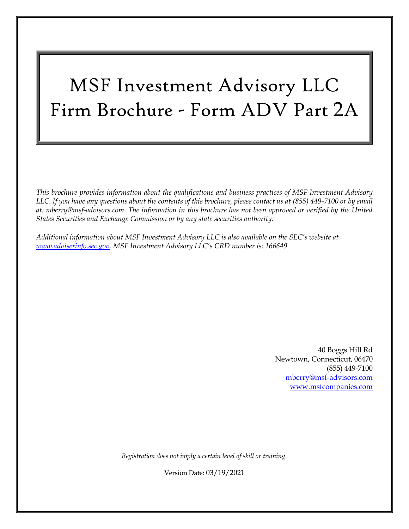# MSF Investment Advisory LLC Firm Brochure - Form ADV Part 2A

*This brochure provides information about the qualifications and business practices of MSF Investment Advisory LLC. If you have any questions about the contents of this brochure, please contact us at (855) 449-7100 or by email at: [mberry@msf-advisors.com.](mailto:mberry@msf-advisors.com) The information in this brochure has not been approved or verified by the United States Securities and Exchange Commission or by any state securities authority.*

*Additional information about MSF Investment Advisory LLC is also available on the SEC's website at [www.adviserinfo.sec.gov.](http://www.adviserinfo.sec.gov/) MSF Investment Advisory LLC's CRD number is: 166649*

> 40 Boggs Hill Rd Newtown, Connecticut, 06470 (855) 449-7100 [mberry@msf-advisors.com](mailto:mberry@msf-advisors.com) [www.msfcompanies.com](http://www.msfcompanies.com/)

*Registration does not imply a certain level of skill or training.*

Version Date: 03/19/2021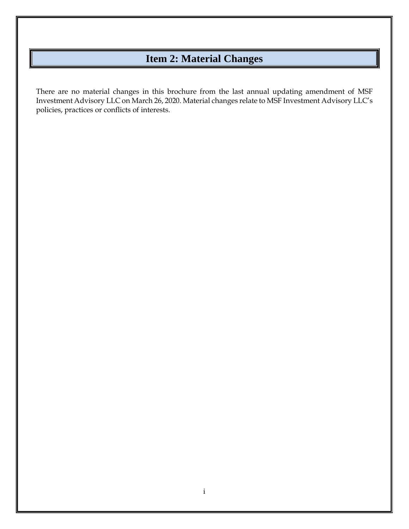### **Item 2: Material Changes**

<span id="page-1-0"></span>There are no material changes in this brochure from the last annual updating amendment of MSF Investment Advisory LLC on March 26, 2020. Material changes relate to MSF Investment Advisory LLC's policies, practices or conflicts of interests.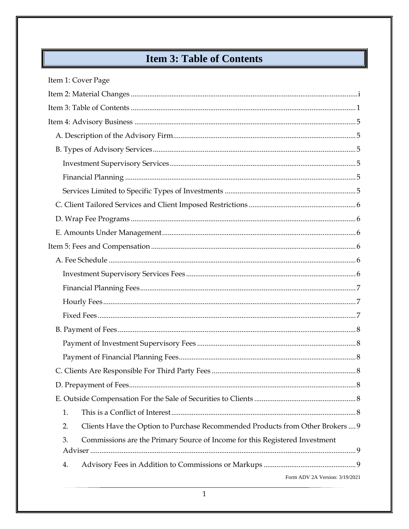## **Item 3: Table of Contents**

<span id="page-2-0"></span>

| Item 1: Cover Page                                                                  |
|-------------------------------------------------------------------------------------|
|                                                                                     |
|                                                                                     |
|                                                                                     |
|                                                                                     |
|                                                                                     |
|                                                                                     |
|                                                                                     |
|                                                                                     |
|                                                                                     |
|                                                                                     |
|                                                                                     |
|                                                                                     |
|                                                                                     |
|                                                                                     |
|                                                                                     |
|                                                                                     |
|                                                                                     |
|                                                                                     |
|                                                                                     |
|                                                                                     |
|                                                                                     |
|                                                                                     |
|                                                                                     |
| 1.                                                                                  |
| Clients Have the Option to Purchase Recommended Products from Other Brokers 9<br>2. |
| Commissions are the Primary Source of Income for this Registered Investment<br>3.   |
|                                                                                     |
| 4.                                                                                  |
| Form ADV 2A Version: 3/19/2021                                                      |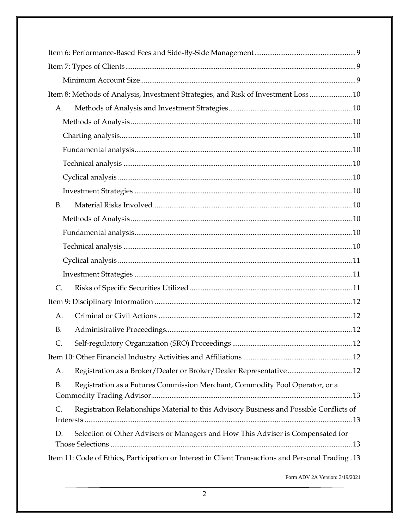| Item 8: Methods of Analysis, Investment Strategies, and Risk of Investment Loss  10                      |  |  |
|----------------------------------------------------------------------------------------------------------|--|--|
| A.                                                                                                       |  |  |
|                                                                                                          |  |  |
|                                                                                                          |  |  |
|                                                                                                          |  |  |
|                                                                                                          |  |  |
|                                                                                                          |  |  |
|                                                                                                          |  |  |
| <b>B.</b>                                                                                                |  |  |
|                                                                                                          |  |  |
|                                                                                                          |  |  |
|                                                                                                          |  |  |
|                                                                                                          |  |  |
|                                                                                                          |  |  |
| $\mathsf{C}$ .                                                                                           |  |  |
|                                                                                                          |  |  |
| A.                                                                                                       |  |  |
| <b>B.</b>                                                                                                |  |  |
| C.                                                                                                       |  |  |
|                                                                                                          |  |  |
| Registration as a Broker/Dealer or Broker/Dealer Representative12<br>A.                                  |  |  |
| Registration as a Futures Commission Merchant, Commodity Pool Operator, or a<br><b>B.</b>                |  |  |
|                                                                                                          |  |  |
| Registration Relationships Material to this Advisory Business and Possible Conflicts of<br>$\mathsf{C}.$ |  |  |
| Selection of Other Advisers or Managers and How This Adviser is Compensated for<br>D.                    |  |  |
| Item 11: Code of Ethics, Participation or Interest in Client Transactions and Personal Trading .13       |  |  |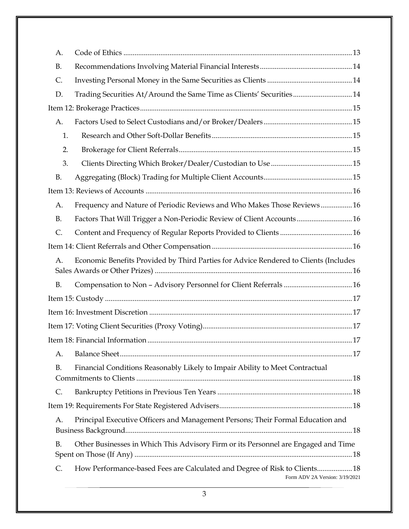| А.             |                                                                                                              |  |
|----------------|--------------------------------------------------------------------------------------------------------------|--|
| <b>B.</b>      |                                                                                                              |  |
| $\mathsf{C}$ . |                                                                                                              |  |
| D.             | Trading Securities At/Around the Same Time as Clients' Securities14                                          |  |
|                |                                                                                                              |  |
| А.             |                                                                                                              |  |
| 1.             |                                                                                                              |  |
| 2.             |                                                                                                              |  |
| 3.             |                                                                                                              |  |
| <b>B.</b>      |                                                                                                              |  |
|                |                                                                                                              |  |
| А.             | Frequency and Nature of Periodic Reviews and Who Makes Those Reviews 16                                      |  |
| <b>B.</b>      | Factors That Will Trigger a Non-Periodic Review of Client Accounts 16                                        |  |
| $\mathsf{C}.$  |                                                                                                              |  |
|                |                                                                                                              |  |
| A.             | Economic Benefits Provided by Third Parties for Advice Rendered to Clients (Includes                         |  |
| <b>B.</b>      |                                                                                                              |  |
|                |                                                                                                              |  |
|                |                                                                                                              |  |
|                |                                                                                                              |  |
|                |                                                                                                              |  |
| А.             |                                                                                                              |  |
| <b>B.</b>      | Financial Conditions Reasonably Likely to Impair Ability to Meet Contractual                                 |  |
| $\mathsf{C}.$  |                                                                                                              |  |
|                |                                                                                                              |  |
| A.             | Principal Executive Officers and Management Persons; Their Formal Education and                              |  |
| <b>B.</b>      | Other Businesses in Which This Advisory Firm or its Personnel are Engaged and Time                           |  |
| $\mathsf{C}$ . | How Performance-based Fees are Calculated and Degree of Risk to Clients 18<br>Form ADV 2A Version: 3/19/2021 |  |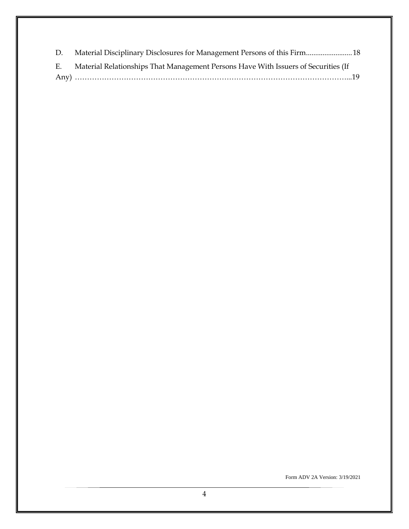| D. Material Disciplinary Disclosures for Management Persons of this Firm 18           |
|---------------------------------------------------------------------------------------|
| E. Material Relationships That Management Persons Have With Issuers of Securities (If |
|                                                                                       |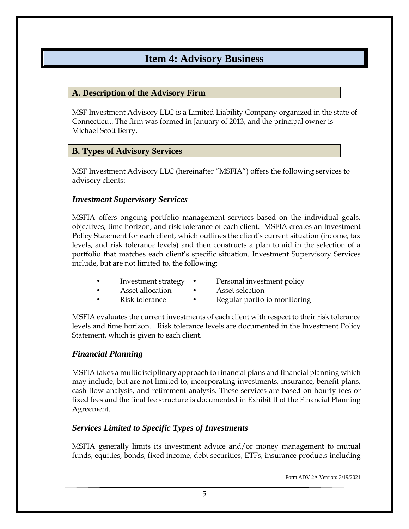### **Item 4: Advisory Business**

#### <span id="page-6-1"></span><span id="page-6-0"></span>**A. Description of the Advisory Firm**

MSF Investment Advisory LLC is a Limited Liability Company organized in the state of Connecticut. The firm was formed in January of 2013, and the principal owner is Michael Scott Berry.

### <span id="page-6-2"></span>**B. Types of Advisory Services**

MSF Investment Advisory LLC (hereinafter "MSFIA") offers the following services to advisory clients:

#### <span id="page-6-3"></span>*Investment Supervisory Services*

MSFIA offers ongoing portfolio management services based on the individual goals, objectives, time horizon, and risk tolerance of each client. MSFIA creates an Investment Policy Statement for each client, which outlines the client's current situation (income, tax levels, and risk tolerance levels) and then constructs a plan to aid in the selection of a portfolio that matches each client's specific situation. Investment Supervisory Services include, but are not limited to, the following:

- Investment strategy Personal investment policy
	- Asset allocation Asset selection
- Risk tolerance Regular portfolio monitoring

MSFIA evaluates the current investments of each client with respect to their risk tolerance levels and time horizon. Risk tolerance levels are documented in the Investment Policy Statement, which is given to each client.

### <span id="page-6-4"></span>*Financial Planning*

MSFIA takes a multidisciplinary approach to financial plans and financial planning which may include, but are not limited to; incorporating investments, insurance, benefit plans, cash flow analysis, and retirement analysis. These services are based on hourly fees or fixed fees and the final fee structure is documented in Exhibit II of the Financial Planning Agreement.

### <span id="page-6-5"></span>*Services Limited to Specific Types of Investments*

MSFIA generally limits its investment advice and/or money management to mutual funds, equities, bonds, fixed income, debt securities, ETFs, insurance products including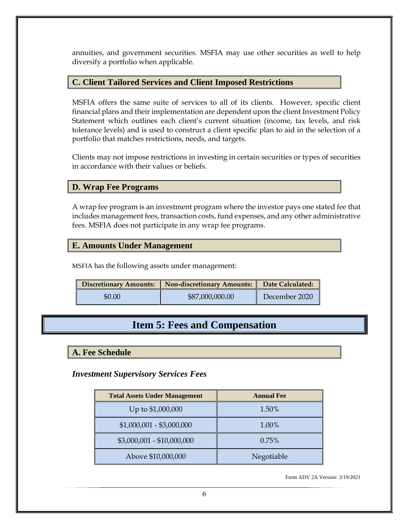annuities, and government securities. MSFIA may use other securities as well to help diversify a portfolio when applicable.

#### <span id="page-7-0"></span>**C. Client Tailored Services and Client Imposed Restrictions**

MSFIA offers the same suite of services to all of its clients. However, specific client financial plans and their implementation are dependent upon the client Investment Policy Statement which outlines each client's current situation (income, tax levels, and risk tolerance levels) and is used to construct a client specific plan to aid in the selection of a portfolio that matches restrictions, needs, and targets.

Clients may not impose restrictions in investing in certain securities or types of securities in accordance with their values or beliefs.

### <span id="page-7-1"></span>**D. Wrap Fee Programs**

A wrap fee program is an investment program where the investor pays one stated fee that includes management fees, transaction costs, fund expenses, and any other administrative fees. MSFIA does not participate in any wrap fee programs.

#### <span id="page-7-2"></span>**E. Amounts Under Management**

MSFIA has the following assets under management:

|        | Discretionary Amounts:   Non-discretionary Amounts: | Date Calculated: |
|--------|-----------------------------------------------------|------------------|
| \$0.00 | \$87,000,000.00                                     | December 2020    |

### **Item 5: Fees and Compensation**

<span id="page-7-4"></span><span id="page-7-3"></span>**A. Fee Schedule**

<span id="page-7-5"></span>*Investment Supervisory Services Fees*

| <b>Total Assets Under Management</b> | <b>Annual Fee</b> |
|--------------------------------------|-------------------|
| Up to \$1,000,000                    | 1.50%             |
| $$1,000,001 - $3,000,000$            | 1.00%             |
| $$3,000,001 - $10,000,000$           | 0.75%             |
| Above \$10,000,000                   | Negotiable        |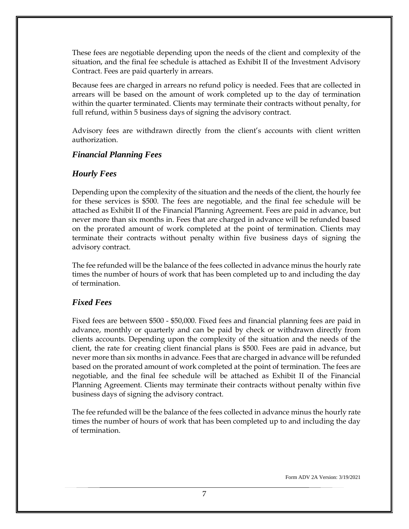These fees are negotiable depending upon the needs of the client and complexity of the situation, and the final fee schedule is attached as Exhibit II of the Investment Advisory Contract. Fees are paid quarterly in arrears.

Because fees are charged in arrears no refund policy is needed. Fees that are collected in arrears will be based on the amount of work completed up to the day of termination within the quarter terminated. Clients may terminate their contracts without penalty, for full refund, within 5 business days of signing the advisory contract.

Advisory fees are withdrawn directly from the client's accounts with client written authorization.

### <span id="page-8-0"></span>*Financial Planning Fees*

### <span id="page-8-1"></span>*Hourly Fees*

Depending upon the complexity of the situation and the needs of the client, the hourly fee for these services is \$500. The fees are negotiable, and the final fee schedule will be attached as Exhibit II of the Financial Planning Agreement. Fees are paid in advance, but never more than six months in. Fees that are charged in advance will be refunded based on the prorated amount of work completed at the point of termination. Clients may terminate their contracts without penalty within five business days of signing the advisory contract.

The fee refunded will be the balance of the fees collected in advance minus the hourly rate times the number of hours of work that has been completed up to and including the day of termination.

### <span id="page-8-2"></span>*Fixed Fees*

Fixed fees are between \$500 - \$50,000. Fixed fees and financial planning fees are paid in advance, monthly or quarterly and can be paid by check or withdrawn directly from clients accounts. Depending upon the complexity of the situation and the needs of the client, the rate for creating client financial plans is \$500. Fees are paid in advance, but never more than six months in advance. Fees that are charged in advance will be refunded based on the prorated amount of work completed at the point of termination. The fees are negotiable, and the final fee schedule will be attached as Exhibit II of the Financial Planning Agreement. Clients may terminate their contracts without penalty within five business days of signing the advisory contract.

The fee refunded will be the balance of the fees collected in advance minus the hourly rate times the number of hours of work that has been completed up to and including the day of termination.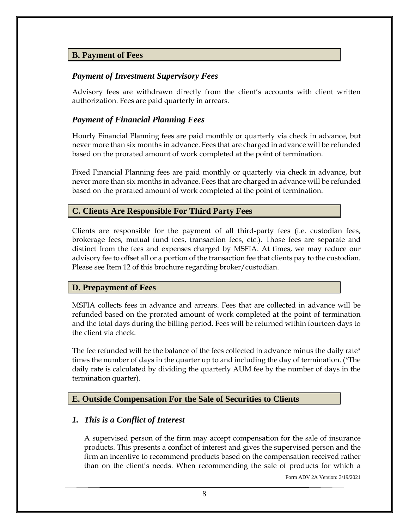### <span id="page-9-0"></span>**B. Payment of Fees**

### <span id="page-9-1"></span>*Payment of Investment Supervisory Fees*

Advisory fees are withdrawn directly from the client's accounts with client written authorization. Fees are paid quarterly in arrears.

### <span id="page-9-2"></span>*Payment of Financial Planning Fees*

Hourly Financial Planning fees are paid monthly or quarterly via check in advance, but never more than six months in advance. Fees that are charged in advance will be refunded based on the prorated amount of work completed at the point of termination.

Fixed Financial Planning fees are paid monthly or quarterly via check in advance, but never more than six months in advance. Fees that are charged in advance will be refunded based on the prorated amount of work completed at the point of termination.

### <span id="page-9-3"></span>**C. Clients Are Responsible For Third Party Fees**

Clients are responsible for the payment of all third-party fees (i.e. custodian fees, brokerage fees, mutual fund fees, transaction fees, etc.). Those fees are separate and distinct from the fees and expenses charged by MSFIA. At times, we may reduce our advisory fee to offset all or a portion of the transaction fee that clients pay to the custodian. Please see Item 12 of this brochure regarding broker/custodian.

#### <span id="page-9-4"></span>**D. Prepayment of Fees**

MSFIA collects fees in advance and arrears. Fees that are collected in advance will be refunded based on the prorated amount of work completed at the point of termination and the total days during the billing period. Fees will be returned within fourteen days to the client via check.

The fee refunded will be the balance of the fees collected in advance minus the daily rate\* times the number of days in the quarter up to and including the day of termination. (\*The daily rate is calculated by dividing the quarterly AUM fee by the number of days in the termination quarter).

#### <span id="page-9-5"></span>**E. Outside Compensation For the Sale of Securities to Clients**

#### <span id="page-9-6"></span>*1. This is a Conflict of Interest*

A supervised person of the firm may accept compensation for the sale of insurance products. This presents a conflict of interest and gives the supervised person and the firm an incentive to recommend products based on the compensation received rather than on the client's needs. When recommending the sale of products for which a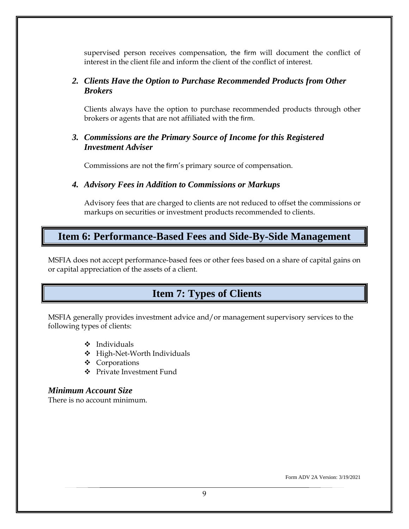supervised person receives compensation, the firm will document the conflict of interest in the client file and inform the client of the conflict of interest.

### <span id="page-10-0"></span>*2. Clients Have the Option to Purchase Recommended Products from Other Brokers*

Clients always have the option to purchase recommended products through other brokers or agents that are not affiliated with the firm.

### <span id="page-10-1"></span>*3. Commissions are the Primary Source of Income for this Registered Investment Adviser*

Commissions are not the firm's primary source of compensation.

### <span id="page-10-2"></span>*4. Advisory Fees in Addition to Commissions or Markups*

Advisory fees that are charged to clients are not reduced to offset the commissions or markups on securities or investment products recommended to clients.

### <span id="page-10-3"></span>**Item 6: Performance-Based Fees and Side-By-Side Management**

MSFIA does not accept performance-based fees or other fees based on a share of capital gains on or capital appreciation of the assets of a client.

### <span id="page-10-4"></span> **Item 7: Types of Clients**

MSFIA generally provides investment advice and/or management supervisory services to the following types of clients:

- ❖ Individuals
- ❖ High-Net-Worth Individuals
- ❖ Corporations
- ❖ Private Investment Fund

#### <span id="page-10-5"></span>*Minimum Account Size*

There is no account minimum.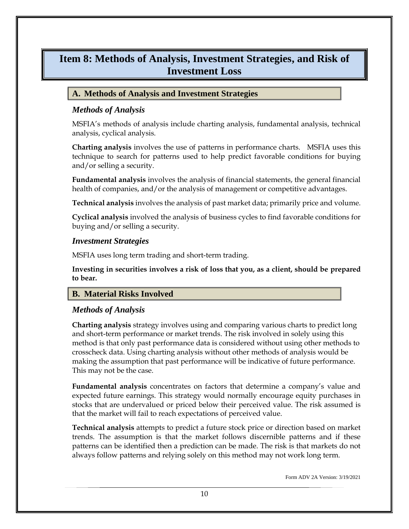### <span id="page-11-0"></span>**Item 8: Methods of Analysis, Investment Strategies, and Risk of Investment Loss**

### <span id="page-11-1"></span>**A. Methods of Analysis and Investment Strategies**

### <span id="page-11-2"></span>*Methods of Analysis*

MSFIA's methods of analysis include charting analysis, fundamental analysis, technical analysis, cyclical analysis.

<span id="page-11-3"></span>**Charting analysis** involves the use of patterns in performance charts. MSFIA uses this technique to search for patterns used to help predict favorable conditions for buying and/or selling a security.

<span id="page-11-4"></span>**Fundamental analysis** involves the analysis of financial statements, the general financial health of companies, and/or the analysis of management or competitive advantages.

<span id="page-11-5"></span>**Technical analysis** involves the analysis of past market data; primarily price and volume.

<span id="page-11-6"></span>**Cyclical analysis** involved the analysis of business cycles to find favorable conditions for buying and/or selling a security.

#### <span id="page-11-7"></span>*Investment Strategies*

MSFIA uses long term trading and short-term trading.

**Investing in securities involves a risk of loss that you, as a client, should be prepared to bear.**

### <span id="page-11-8"></span>**B. Material Risks Involved**

### <span id="page-11-9"></span>*Methods of Analysis*

**Charting analysis** strategy involves using and comparing various charts to predict long and short-term performance or market trends. The risk involved in solely using this method is that only past performance data is considered without using other methods to crosscheck data. Using charting analysis without other methods of analysis would be making the assumption that past performance will be indicative of future performance. This may not be the case.

<span id="page-11-10"></span>**Fundamental analysis** concentrates on factors that determine a company's value and expected future earnings. This strategy would normally encourage equity purchases in stocks that are undervalued or priced below their perceived value. The risk assumed is that the market will fail to reach expectations of perceived value.

<span id="page-11-11"></span>**Technical analysis** attempts to predict a future stock price or direction based on market trends. The assumption is that the market follows discernible patterns and if these patterns can be identified then a prediction can be made. The risk is that markets do not always follow patterns and relying solely on this method may not work long term.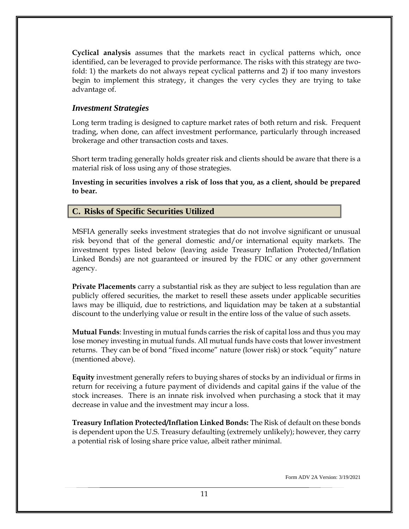<span id="page-12-0"></span>**Cyclical analysis** assumes that the markets react in cyclical patterns which, once identified, can be leveraged to provide performance. The risks with this strategy are twofold: 1) the markets do not always repeat cyclical patterns and 2) if too many investors begin to implement this strategy, it changes the very cycles they are trying to take advantage of.

#### <span id="page-12-1"></span>*Investment Strategies*

Long term trading is designed to capture market rates of both return and risk. Frequent trading, when done, can affect investment performance, particularly through increased brokerage and other transaction costs and taxes.

Short term trading generally holds greater risk and clients should be aware that there is a material risk of loss using any of those strategies.

**Investing in securities involves a risk of loss that you, as a client, should be prepared to bear.**

### <span id="page-12-2"></span>**C. Risks of Specific Securities Utilized**

MSFIA generally seeks investment strategies that do not involve significant or unusual risk beyond that of the general domestic and/or international equity markets. The investment types listed below (leaving aside Treasury Inflation Protected/Inflation Linked Bonds) are not guaranteed or insured by the FDIC or any other government agency.

**Private Placements** carry a substantial risk as they are subject to less regulation than are publicly offered securities, the market to resell these assets under applicable securities laws may be illiquid, due to restrictions, and liquidation may be taken at a substantial discount to the underlying value or result in the entire loss of the value of such assets.

**Mutual Funds**: Investing in mutual funds carries the risk of capital loss and thus you may lose money investing in mutual funds. All mutual funds have costs that lower investment returns. They can be of bond "fixed income" nature (lower risk) or stock "equity" nature (mentioned above).

**Equity** investment generally refers to buying shares of stocks by an individual or firms in return for receiving a future payment of dividends and capital gains if the value of the stock increases. There is an innate risk involved when purchasing a stock that it may decrease in value and the investment may incur a loss.

**Treasury Inflation Protected/Inflation Linked Bonds:** The Risk of default on these bonds is dependent upon the U.S. Treasury defaulting (extremely unlikely); however, they carry a potential risk of losing share price value, albeit rather minimal.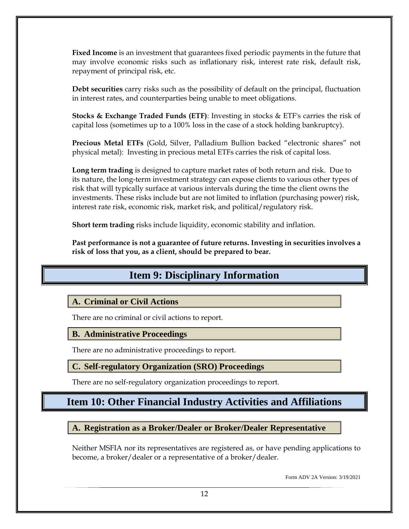**Fixed Income** is an investment that guarantees fixed periodic payments in the future that may involve economic risks such as inflationary risk, interest rate risk, default risk, repayment of principal risk, etc.

**Debt securities** carry risks such as the possibility of default on the principal, fluctuation in interest rates, and counterparties being unable to meet obligations.

**Stocks & Exchange Traded Funds (ETF)**: Investing in stocks & ETF's carries the risk of capital loss (sometimes up to a 100% loss in the case of a stock holding bankruptcy).

**Precious Metal ETFs** (Gold, Silver, Palladium Bullion backed "electronic shares" not physical metal):Investing in precious metal ETFs carries the risk of capital loss.

**Long term trading** is designed to capture market rates of both return and risk. Due to its nature, the long-term investment strategy can expose clients to various other types of risk that will typically surface at various intervals during the time the client owns the investments. These risks include but are not limited to inflation (purchasing power) risk, interest rate risk, economic risk, market risk, and political/regulatory risk.

**Short term trading** risks include liquidity, economic stability and inflation.

<span id="page-13-0"></span>**Past performance is not a guarantee of future returns. Investing in securities involves a risk of loss that you, as a client, should be prepared to bear.**

### **Item 9: Disciplinary Information**

### <span id="page-13-1"></span>**A. Criminal or Civil Actions**

There are no criminal or civil actions to report.

#### <span id="page-13-2"></span>**B. Administrative Proceedings**

There are no administrative proceedings to report.

### <span id="page-13-3"></span>**C. Self-regulatory Organization (SRO) Proceedings**

There are no self-regulatory organization proceedings to report.

### <span id="page-13-4"></span>**Item 10: Other Financial Industry Activities and Affiliations**

<span id="page-13-5"></span>**A. Registration as a Broker/Dealer or Broker/Dealer Representative**

Neither MSFIA nor its representatives are registered as, or have pending applications to become, a broker/dealer or a representative of a broker/dealer.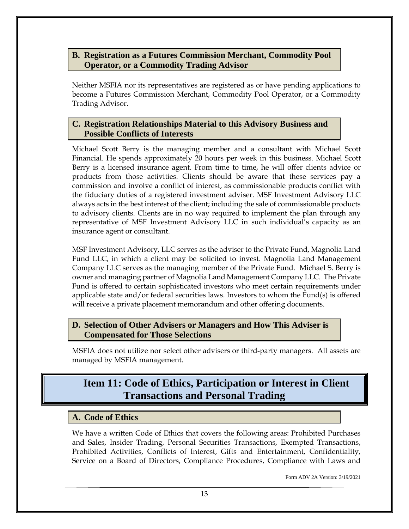### <span id="page-14-0"></span>**B. Registration as a Futures Commission Merchant, Commodity Pool Operator, or a Commodity Trading Advisor**

Neither MSFIA nor its representatives are registered as or have pending applications to become a Futures Commission Merchant, Commodity Pool Operator, or a Commodity Trading Advisor.

### <span id="page-14-1"></span>**C. Registration Relationships Material to this Advisory Business and Possible Conflicts of Interests**

Michael Scott Berry is the managing member and a consultant with Michael Scott Financial. He spends approximately 20 hours per week in this business. Michael Scott Berry is a licensed insurance agent. From time to time, he will offer clients advice or products from those activities. Clients should be aware that these services pay a commission and involve a conflict of interest, as commissionable products conflict with the fiduciary duties of a registered investment adviser. MSF Investment Advisory LLC always acts in the best interest of the client; including the sale of commissionable products to advisory clients. Clients are in no way required to implement the plan through any representative of MSF Investment Advisory LLC in such individual's capacity as an insurance agent or consultant.

MSF Investment Advisory, LLC serves as the adviser to the Private Fund, Magnolia Land Fund LLC, in which a client may be solicited to invest. Magnolia Land Management Company LLC serves as the managing member of the Private Fund. Michael S. Berry is owner and managing partner of Magnolia Land Management Company LLC. The Private Fund is offered to certain sophisticated investors who meet certain requirements under applicable state and/or federal securities laws. Investors to whom the Fund(s) is offered will receive a private placement memorandum and other offering documents.

### <span id="page-14-2"></span>**D. Selection of Other Advisers or Managers and How This Adviser is Compensated for Those Selections**

<span id="page-14-3"></span>MSFIA does not utilize nor select other advisers or third-party managers. All assets are managed by MSFIA management.

### **Item 11: Code of Ethics, Participation or Interest in Client Transactions and Personal Trading**

### <span id="page-14-4"></span>**A. Code of Ethics**

We have a written Code of Ethics that covers the following areas: Prohibited Purchases and Sales, Insider Trading, Personal Securities Transactions, Exempted Transactions, Prohibited Activities, Conflicts of Interest, Gifts and Entertainment, Confidentiality, Service on a Board of Directors, Compliance Procedures, Compliance with Laws and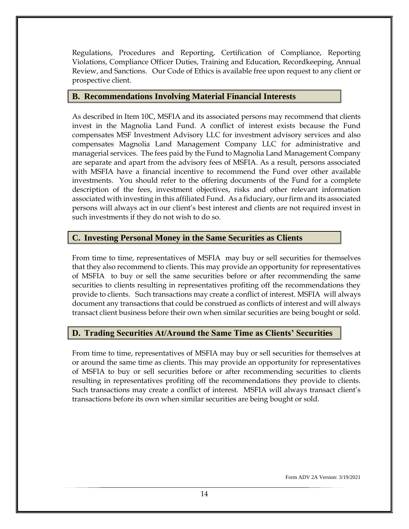Regulations, Procedures and Reporting, Certification of Compliance, Reporting Violations, Compliance Officer Duties, Training and Education, Recordkeeping, Annual Review, and Sanctions. Our Code of Ethics is available free upon request to any client or prospective client.

#### <span id="page-15-0"></span>**B. Recommendations Involving Material Financial Interests**

As described in Item 10C, MSFIA and its associated persons may recommend that clients invest in the Magnolia Land Fund. A conflict of interest exists because the Fund compensates MSF Investment Advisory LLC for investment advisory services and also compensates Magnolia Land Management Company LLC for administrative and managerial services. The fees paid by the Fund to Magnolia Land Management Company are separate and apart from the advisory fees of MSFIA. As a result, persons associated with MSFIA have a financial incentive to recommend the Fund over other available investments. You should refer to the offering documents of the Fund for a complete description of the fees, investment objectives, risks and other relevant information associated with investing in this affiliated Fund. As a fiduciary, our firm and its associated persons will always act in our client's best interest and clients are not required invest in such investments if they do not wish to do so.

### <span id="page-15-1"></span>**C. Investing Personal Money in the Same Securities as Clients**

From time to time, representatives of MSFIA may buy or sell securities for themselves that they also recommend to clients. This may provide an opportunity for representatives of MSFIA to buy or sell the same securities before or after recommending the same securities to clients resulting in representatives profiting off the recommendations they provide to clients. Such transactions may create a conflict of interest. MSFIA will always document any transactions that could be construed as conflicts of interest and will always transact client business before their own when similar securities are being bought or sold.

### <span id="page-15-2"></span>**D. Trading Securities At/Around the Same Time as Clients' Securities**

From time to time, representatives of MSFIA may buy or sell securities for themselves at or around the same time as clients. This may provide an opportunity for representatives of MSFIA to buy or sell securities before or after recommending securities to clients resulting in representatives profiting off the recommendations they provide to clients. Such transactions may create a conflict of interest. MSFIA will always transact client's transactions before its own when similar securities are being bought or sold.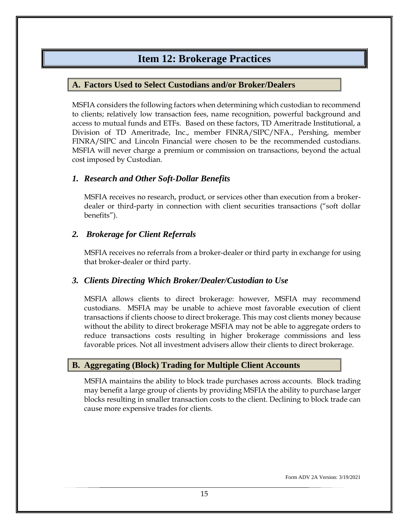### **Item 12: Brokerage Practices**

### <span id="page-16-1"></span><span id="page-16-0"></span>**A. Factors Used to Select Custodians and/or Broker/Dealers**

MSFIA considers the following factors when determining which custodian to recommend to clients; relatively low transaction fees, name recognition, powerful background and access to mutual funds and ETFs. Based on these factors, TD Ameritrade Institutional, a Division of TD Ameritrade, Inc., member FINRA/SIPC/NFA., Pershing, member FINRA/SIPC and Lincoln Financial were chosen to be the recommended custodians. MSFIA will never charge a premium or commission on transactions, beyond the actual cost imposed by Custodian.

### <span id="page-16-2"></span>*1. Research and Other Soft-Dollar Benefits*

MSFIA receives no research, product, or services other than execution from a brokerdealer or third-party in connection with client securities transactions ("soft dollar benefits").

### <span id="page-16-3"></span>*2. Brokerage for Client Referrals*

MSFIA receives no referrals from a broker-dealer or third party in exchange for using that broker-dealer or third party.

### <span id="page-16-4"></span>*3. Clients Directing Which Broker/Dealer/Custodian to Use*

MSFIA allows clients to direct brokerage: however, MSFIA may recommend custodians. MSFIA may be unable to achieve most favorable execution of client transactions if clients choose to direct brokerage. This may cost clients money because without the ability to direct brokerage MSFIA may not be able to aggregate orders to reduce transactions costs resulting in higher brokerage commissions and less favorable prices. Not all investment advisers allow their clients to direct brokerage.

### <span id="page-16-5"></span>**B. Aggregating (Block) Trading for Multiple Client Accounts**

MSFIA maintains the ability to block trade purchases across accounts. Block trading may benefit a large group of clients by providing MSFIA the ability to purchase larger blocks resulting in smaller transaction costs to the client. Declining to block trade can cause more expensive trades for clients.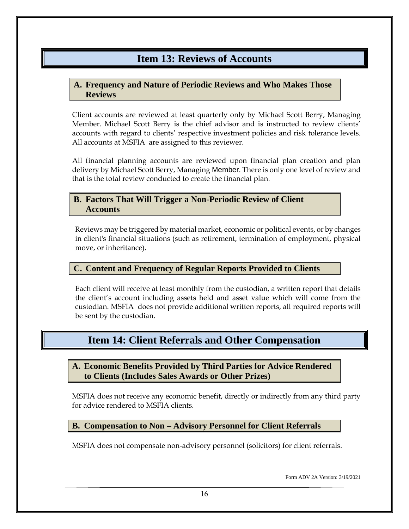### **Item 13: Reviews of Accounts**

### <span id="page-17-1"></span><span id="page-17-0"></span>**A. Frequency and Nature of Periodic Reviews and Who Makes Those Reviews**

Client accounts are reviewed at least quarterly only by Michael Scott Berry, Managing Member. Michael Scott Berry is the chief advisor and is instructed to review clients' accounts with regard to clients' respective investment policies and risk tolerance levels. All accounts at MSFIA are assigned to this reviewer.

All financial planning accounts are reviewed upon financial plan creation and plan delivery by Michael Scott Berry, Managing Member. There is only one level of review and that is the total review conducted to create the financial plan.

#### <span id="page-17-2"></span>**B. Factors That Will Trigger a Non-Periodic Review of Client Accounts**

Reviews may be triggered by material market, economic or political events, or by changes in client's financial situations (such as retirement, termination of employment, physical move, or inheritance).

### <span id="page-17-3"></span>**C. Content and Frequency of Regular Reports Provided to Clients**

Each client will receive at least monthly from the custodian, a written report that details the client's account including assets held and asset value which will come from the custodian. MSFIA does not provide additional written reports, all required reports will be sent by the custodian.

### <span id="page-17-4"></span>**Item 14: Client Referrals and Other Compensation**

<span id="page-17-5"></span>**A. Economic Benefits Provided by Third Parties for Advice Rendered to Clients (Includes Sales Awards or Other Prizes)**

MSFIA does not receive any economic benefit, directly or indirectly from any third party for advice rendered to MSFIA clients.

#### <span id="page-17-6"></span>**B. Compensation to Non – Advisory Personnel for Client Referrals**

MSFIA does not compensate non-advisory personnel (solicitors) for client referrals.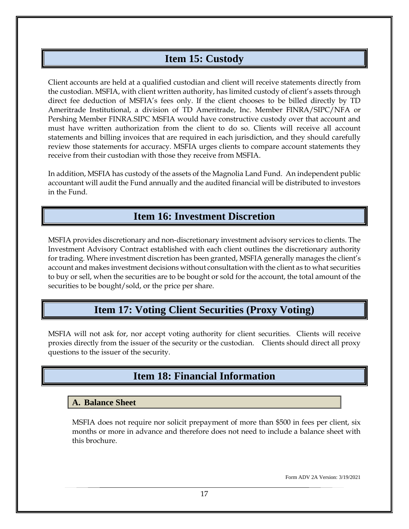### **Item 15: Custody**

<span id="page-18-0"></span>Client accounts are held at a qualified custodian and client will receive statements directly from the custodian. MSFIA, with client written authority, has limited custody of client's assets through direct fee deduction of MSFIA's fees only. If the client chooses to be billed directly by TD Ameritrade Institutional, a division of TD Ameritrade, Inc. Member FINRA/SIPC/NFA or Pershing Member FINRA.SIPC MSFIA would have constructive custody over that account and must have written authorization from the client to do so. Clients will receive all account statements and billing invoices that are required in each jurisdiction, and they should carefully review those statements for accuracy. MSFIA urges clients to compare account statements they receive from their custodian with those they receive from MSFIA.

In addition, MSFIA has custody of the assets of the Magnolia Land Fund. An independent public accountant will audit the Fund annually and the audited financial will be distributed to investors in the Fund.

### **Item 16: Investment Discretion**

<span id="page-18-1"></span>MSFIA provides discretionary and non-discretionary investment advisory services to clients. The Investment Advisory Contract established with each client outlines the discretionary authority for trading. Where investment discretion has been granted, MSFIA generally manages the client's account and makes investment decisions without consultation with the client as to what securities to buy or sell, when the securities are to be bought or sold for the account, the total amount of the securities to be bought/sold, or the price per share.

### **Item 17: Voting Client Securities (Proxy Voting)**

<span id="page-18-3"></span><span id="page-18-2"></span>MSFIA will not ask for, nor accept voting authority for client securities. Clients will receive proxies directly from the issuer of the security or the custodian. Clients should direct all proxy questions to the issuer of the security.

### **Item 18: Financial Information**

#### <span id="page-18-4"></span>**A. Balance Sheet**

MSFIA does not require nor solicit prepayment of more than \$500 in fees per client, six months or more in advance and therefore does not need to include a balance sheet with this brochure.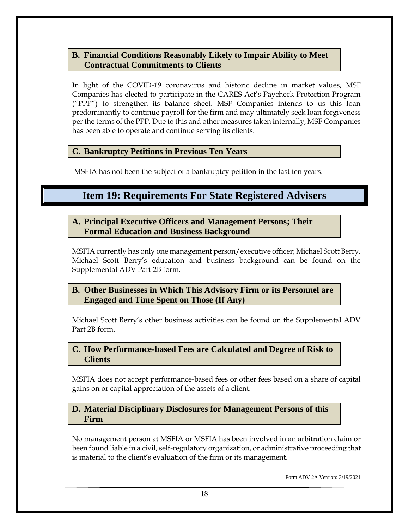#### <span id="page-19-0"></span>**B. Financial Conditions Reasonably Likely to Impair Ability to Meet Contractual Commitments to Clients**

In light of the COVID-19 coronavirus and historic decline in market values, MSF Companies has elected to participate in the CARES Act's Paycheck Protection Program ("PPP") to strengthen its balance sheet. MSF Companies intends to us this loan predominantly to continue payroll for the firm and may ultimately seek loan forgiveness per the terms of the PPP. Due to this and other measures taken internally, MSF Companies has been able to operate and continue serving its clients.

### <span id="page-19-1"></span>**C. Bankruptcy Petitions in Previous Ten Years**

<span id="page-19-2"></span>MSFIA has not been the subject of a bankruptcy petition in the last ten years.

### **Item 19: Requirements For State Registered Advisers**

#### <span id="page-19-3"></span>**A. Principal Executive Officers and Management Persons; Their Formal Education and Business Background**

MSFIA currently has only one management person/executive officer; Michael Scott Berry. Michael Scott Berry's education and business background can be found on the Supplemental ADV Part 2B form.

### <span id="page-19-4"></span>**B. Other Businesses in Which This Advisory Firm or its Personnel are Engaged and Time Spent on Those (If Any)**

Michael Scott Berry's other business activities can be found on the Supplemental ADV Part 2B form.

### <span id="page-19-5"></span>**C. How Performance-based Fees are Calculated and Degree of Risk to Clients**

MSFIA does not accept performance-based fees or other fees based on a share of capital gains on or capital appreciation of the assets of a client.

#### <span id="page-19-6"></span>**D. Material Disciplinary Disclosures for Management Persons of this Firm**

No management person at MSFIA or MSFIA has been involved in an arbitration claim or been found liable in a civil, self-regulatory organization, or administrative proceeding that is material to the client's evaluation of the firm or its management.